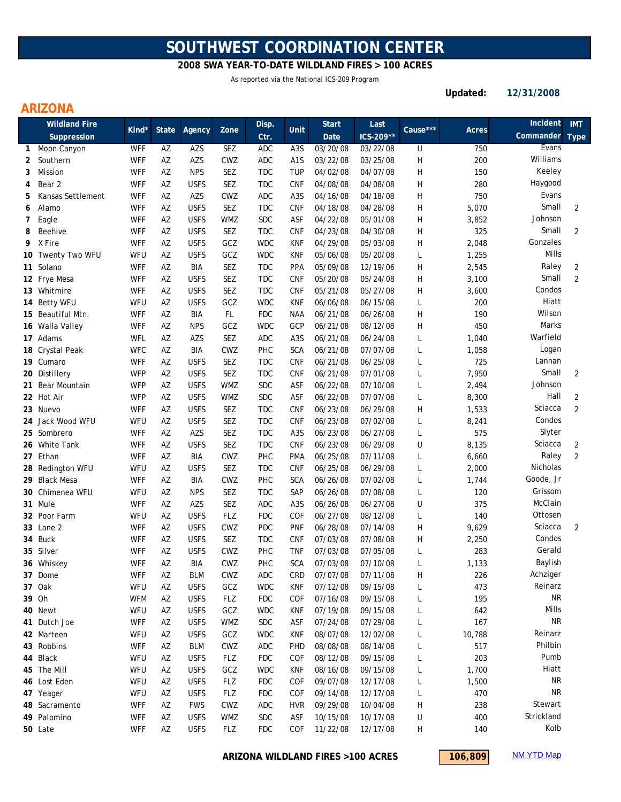# **SOUTHWEST COORDINATION CENTER**

## **2008 SWA YEAR-TO-DATE WILDLAND FIRES > 100 ACRES**

As reported via the National ICS-209 Program

**Updated: 12/31/2008**

## **ARIZONA**

| <b>Wildland Fire</b> |                   |            |              |             | Disp.      |            | <b>Start</b>     | Last     |           |          | Incident | <b>IMT</b> |                |
|----------------------|-------------------|------------|--------------|-------------|------------|------------|------------------|----------|-----------|----------|----------|------------|----------------|
|                      | Suppression       | Kind*      | <b>State</b> | Agency      | Zone       | Ctr.       | Unit             | Date     | ICS-209** | Cause*** | Acres    | Commander  | <b>Type</b>    |
| 1                    | Moon Canyon       | <b>WFF</b> | AZ           | AZS         | SEZ        | <b>ADC</b> | A <sub>3</sub> S | 03/20/08 | 03/22/08  | U        | 750      | Evans      |                |
| 2                    | Southern          | WFF        | AZ           | AZS         | CWZ        | <b>ADC</b> | A <sub>1</sub> S | 03/22/08 | 03/25/08  | Н        | 200      | Williams   |                |
| 3                    | <b>Mission</b>    | WFF        | AZ           | <b>NPS</b>  | <b>SEZ</b> | <b>TDC</b> | <b>TUP</b>       | 04/02/08 | 04/07/08  | Н        | 150      | Keeley     |                |
| 4                    | Bear 2            | WFF        | AZ           | <b>USFS</b> | <b>SEZ</b> | <b>TDC</b> | <b>CNF</b>       | 04/08/08 | 04/08/08  | H        | 280      | Haygood    |                |
| 5                    | Kansas Settlement | <b>WFF</b> | AZ           | AZS         | CWZ        | ADC        | A <sub>3</sub> S | 04/16/08 | 04/18/08  | H        | 750      | Evans      |                |
| 6                    | Alamo             | WFF        | AZ           | <b>USFS</b> | SEZ        | <b>TDC</b> | <b>CNF</b>       | 04/18/08 | 04/28/08  | Н        | 5,070    | Small      | $\overline{2}$ |
| 7                    | Eagle             | WFF        | AZ           | <b>USFS</b> | <b>WMZ</b> | <b>SDC</b> | ASF              | 04/22/08 | 05/01/08  | Н        | 3,852    | Johnson    |                |
| 8                    | Beehive           | WFF        | AZ           | <b>USFS</b> | <b>SEZ</b> | <b>TDC</b> | <b>CNF</b>       | 04/23/08 | 04/30/08  | Н        | 325      | Small      | $\overline{2}$ |
| 9                    | X Fire            | WFF        | AZ           | <b>USFS</b> | GCZ        | <b>WDC</b> | <b>KNF</b>       | 04/29/08 | 05/03/08  | Н        | 2,048    | Gonzales   |                |
|                      | 10 Twenty Two WFU | WFU        | AZ           | <b>USFS</b> | GCZ        | <b>WDC</b> | <b>KNF</b>       | 05/06/08 | 05/20/08  | L        | 1,255    | Mills      |                |
|                      | 11 Solano         | WFF        | AZ           | <b>BIA</b>  | <b>SEZ</b> | <b>TDC</b> | PPA              | 05/09/08 | 12/19/06  | Н        | 2,545    | Raley      | 2              |
|                      | 12 Frye Mesa      | <b>WFF</b> | AZ           | <b>USFS</b> | <b>SEZ</b> | <b>TDC</b> | <b>CNF</b>       | 05/20/08 | 05/24/08  | Н        | 3,100    | Small      | 2              |
|                      | 13 Whitmire       | <b>WFF</b> | AZ           | <b>USFS</b> | <b>SEZ</b> | <b>TDC</b> | <b>CNF</b>       | 05/21/08 | 05/27/08  | Н        | 3,600    | Condos     |                |
|                      | 14 Betty WFU      | WFU        | AZ           | <b>USFS</b> | GCZ        | <b>WDC</b> | <b>KNF</b>       | 06/06/08 | 06/15/08  | L        | 200      | Hiatt      |                |
|                      | 15 Beautiful Mtn. | WFF        | AZ           | BIA         | <b>FL</b>  | <b>FDC</b> | <b>NAA</b>       | 06/21/08 | 06/26/08  | Н        | 190      | Wilson     |                |
|                      | 16 Walla Valley   | WFF        | AZ           | <b>NPS</b>  | GCZ        | <b>WDC</b> | GCP              | 06/21/08 | 08/12/08  | Н        | 450      | Marks      |                |
|                      | 17 Adams          | WFL        | AZ           | AZS         | SEZ        | <b>ADC</b> | A <sub>3</sub> S | 06/21/08 | 06/24/08  | L        | 1,040    | Warfield   |                |
|                      | 18 Crystal Peak   | <b>WFC</b> | AZ           | BIA         | CWZ        | <b>PHC</b> | <b>SCA</b>       | 06/21/08 | 07/07/08  | L        | 1,058    | Logan      |                |
|                      | 19 Cumaro         | <b>WFF</b> | AZ           | <b>USFS</b> | <b>SEZ</b> | <b>TDC</b> | <b>CNF</b>       | 06/21/08 | 06/25/08  | L        | 725      | Lannan     |                |
|                      | 20 Distillery     | <b>WFP</b> | AZ           | <b>USFS</b> | SEZ        | <b>TDC</b> | <b>CNF</b>       | 06/21/08 | 07/01/08  | L        | 7,950    | Small      | $\overline{2}$ |
|                      | 21 Bear Mountain  | <b>WFP</b> | AZ           | <b>USFS</b> | WMZ        | <b>SDC</b> | ASF              | 06/22/08 | 07/10/08  | L        | 2,494    | Johnson    |                |
|                      | 22 Hot Air        | <b>WFP</b> | AZ           | <b>USFS</b> | WMZ        | <b>SDC</b> | ASF              | 06/22/08 | 07/07/08  | L        | 8,300    | Hall       | 2              |
|                      | 23 Nuevo          | <b>WFF</b> | AZ           | <b>USFS</b> | <b>SEZ</b> | <b>TDC</b> | <b>CNF</b>       | 06/23/08 | 06/29/08  | Η        | 1,533    | Sciacca    | $\overline{2}$ |
|                      | 24 Jack Wood WFU  | WFU        | AZ           | <b>USFS</b> | <b>SEZ</b> | <b>TDC</b> | <b>CNF</b>       | 06/23/08 | 07/02/08  | L        | 8,241    | Condos     |                |
|                      | 25 Sombrero       | <b>WFF</b> | AZ           | AZS         | <b>SEZ</b> | <b>TDC</b> | A <sub>3</sub> S | 06/23/08 | 06/27/08  | L        | 575      | Slyter     |                |
|                      | 26 White Tank     | WFF        | AZ           | <b>USFS</b> | <b>SEZ</b> | <b>TDC</b> | <b>CNF</b>       | 06/23/08 | 06/29/08  | U        | 8,135    | Sciacca    | 2              |
|                      | 27 Ethan          | <b>WFF</b> | AZ           | BIA         | <b>CWZ</b> | <b>PHC</b> | <b>PMA</b>       | 06/25/08 | 07/11/08  | L        | 6,660    | Raley      | $\overline{2}$ |
|                      | 28 Redington WFU  | WFU        | AZ           | <b>USFS</b> | SEZ        | TDC        | <b>CNF</b>       | 06/25/08 | 06/29/08  | L        | 2,000    | Nicholas   |                |
|                      | 29 Black Mesa     | <b>WFF</b> | AZ           | BIA         | CWZ        | <b>PHC</b> | <b>SCA</b>       | 06/26/08 | 07/02/08  | L        | 1,744    | Goode, Jr  |                |
|                      | 30 Chimenea WFU   | WFU        | AZ           | <b>NPS</b>  | SEZ        | <b>TDC</b> | SAP              | 06/26/08 | 07/08/08  | L        | 120      | Grissom    |                |
|                      | 31 Mule           | <b>WFF</b> | AZ           | AZS         | <b>SEZ</b> | <b>ADC</b> | A <sub>3</sub> S | 06/26/08 | 06/27/08  | U        | 375      | McClain    |                |
|                      | 32 Poor Farm      | WFU        | AZ           | <b>USFS</b> | FLZ        | <b>FDC</b> | COF              | 06/27/08 | 08/12/08  | L        | 140      | Ottosen    |                |
|                      | 33 Lane 2         | WFF        | AZ           | <b>USFS</b> | <b>CWZ</b> | <b>PDC</b> | <b>PNF</b>       | 06/28/08 | 07/14/08  | Н        | 9,629    | Sciacca    | $\overline{2}$ |
|                      | 34 Buck           | WFF        | AZ           | <b>USFS</b> | SEZ        | <b>TDC</b> | <b>CNF</b>       | 07/03/08 | 07/08/08  | Н        | 2,250    | Condos     |                |
|                      | 35 Silver         | <b>WFF</b> | AZ           | <b>USFS</b> | CWZ        | PHC        | <b>TNF</b>       | 07/03/08 | 07/05/08  | L        | 283      | Gerald     |                |
|                      | 36 Whiskey        | WFF        | AZ           | BIA         | CWZ        | PHC        | <b>SCA</b>       | 07/03/08 | 07/10/08  | L        | 1,133    | Baylish    |                |
|                      | 37 Dome           | <b>WFF</b> | AZ           | <b>BLM</b>  | CWZ        | ADC        | <b>CRD</b>       | 07/07/08 | 07/11/08  | H        | 226      | Achziger   |                |
|                      | 37 Oak            | WFU        | AZ           | <b>USFS</b> | GCZ        | <b>WDC</b> | <b>KNF</b>       | 07/12/08 | 09/15/08  | L        | 473      | Reinarz    |                |
|                      | 39 Oh             | <b>WFM</b> | AZ           | <b>USFS</b> | <b>FLZ</b> | <b>FDC</b> | COF              | 07/16/08 | 09/15/08  | L        | 195      | <b>NR</b>  |                |
|                      | 40 Newt           | WFU        | AZ           | <b>USFS</b> | GCZ        | <b>WDC</b> | <b>KNF</b>       | 07/19/08 | 09/15/08  | L        | 642      | Mills      |                |
|                      | 41 Dutch Joe      | WFF        | AZ           | <b>USFS</b> | <b>WMZ</b> | SDC        | ASF              | 07/24/08 | 07/29/08  | L        | 167      | <b>NR</b>  |                |
|                      | 42 Marteen        | WFU        | AZ           | <b>USFS</b> | GCZ        | <b>WDC</b> | <b>KNF</b>       | 08/07/08 | 12/02/08  | L        | 10,788   | Reinarz    |                |
|                      | 43 Robbins        | <b>WFF</b> | AZ           | <b>BLM</b>  | CWZ        | ADC        | <b>PHD</b>       | 08/08/08 | 08/14/08  | L        | 517      | Philbin    |                |
|                      | 44 Black          | WFU        | AZ           | <b>USFS</b> | <b>FLZ</b> | <b>FDC</b> | COF              | 08/12/08 | 09/15/08  | L        | 203      | Pumb       |                |
|                      | 45 The Mill       | WFU        | AZ           | <b>USFS</b> | GCZ        | <b>WDC</b> | <b>KNF</b>       | 08/16/08 | 09/15/08  | L        | 1,700    | Hiatt      |                |
|                      | 46 Lost Eden      | WFU        | AZ           | <b>USFS</b> | FLZ        | <b>FDC</b> | COF              | 09/07/08 | 12/17/08  | L        | 1,500    | <b>NR</b>  |                |
|                      | 47 Yeager         | WFU        | AZ           | <b>USFS</b> | <b>FLZ</b> | <b>FDC</b> | COF              | 09/14/08 | 12/17/08  | L        | 470      | <b>NR</b>  |                |
|                      | 48 Sacramento     | <b>WFF</b> | AZ           | <b>FWS</b>  | CWZ        | ADC        | <b>HVR</b>       | 09/29/08 | 10/04/08  | H        | 238      | Stewart    |                |
|                      | 49 Palomino       | <b>WFF</b> | AZ           | <b>USFS</b> | <b>WMZ</b> | <b>SDC</b> | ASF              | 10/15/08 | 10/17/08  | U        | 400      | Strickland |                |
|                      | 50 Late           | <b>WFF</b> | AZ           | <b>USFS</b> | FLZ        | <b>FDC</b> | COF              | 11/22/08 | 12/17/08  | H        | 140      | Kolb       |                |

**ARIZONA WILDLAND FIRES >100 ACRES**

**106,809** NM YTD Map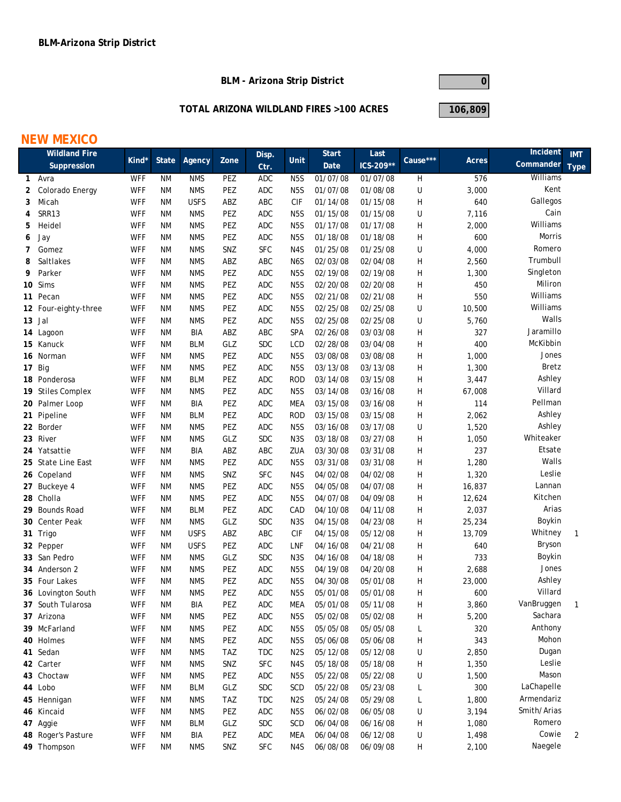**BLM - Arizona Strip District**



#### **TOTAL ARIZONA WILDLAND FIRES >100 ACRES**

**106,809**

## **NEW MEXICO**

| <b>Wildland Fire</b> |                           |            |                 |             |            | Disp.                |                         | <b>Start</b>         | Last      |              |                | Incident    | <b>IMT</b>  |
|----------------------|---------------------------|------------|-----------------|-------------|------------|----------------------|-------------------------|----------------------|-----------|--------------|----------------|-------------|-------------|
|                      | Suppression               | Kind*      | <b>State</b>    | Agency      | Zone       | Ctr.                 | Unit                    | Date                 | ICS-209** | Cause***     | Acres          | Commander   | <b>Type</b> |
| $\mathbf{1}$         | Avra                      | <b>WFF</b> | ΝM              | <b>NMS</b>  | PEZ        | <b>ADC</b>           | N <sub>5</sub> S        | 01/07/08             | 01/07/08  | H            | 576            | Williams    |             |
| 2                    | Colorado Energy           | <b>WFF</b> | ΝM              | <b>NMS</b>  | PEZ        | <b>ADC</b>           | N <sub>5</sub> S        | 01/07/08             | 01/08/08  | U            | 3,000          | Kent        |             |
| 3                    | Micah                     | <b>WFF</b> | ΝM              | <b>USFS</b> | ABZ        | ABC                  | <b>CIF</b>              | 01/14/08             | 01/15/08  | Н            | 640            | Gallegos    |             |
| 4                    | SRR13                     | <b>WFF</b> | ΝM              | <b>NMS</b>  | PEZ        | ADC                  | N <sub>5</sub> S        | 01/15/08             | 01/15/08  | U            | 7,116          | Cain        |             |
| 5                    | Heidel                    | <b>WFF</b> | ΝM              | <b>NMS</b>  | PEZ        | ADC                  | N <sub>5</sub> S        | 01/17/08             | 01/17/08  | Н            | 2,000          | Williams    |             |
| 6                    | Jay                       | <b>WFF</b> | ΝM              | <b>NMS</b>  | PEZ        | <b>ADC</b>           | N <sub>5</sub> S        | 01/18/08             | 01/18/08  | Н            | 600            | Morris      |             |
| 7                    | Gomez                     | <b>WFF</b> | ΝM              | <b>NMS</b>  | SNZ        | <b>SFC</b>           | N4S                     | 01/25/08             | 01/25/08  | U            | 4,000          | Romero      |             |
| 8                    | Saltlakes                 | <b>WFF</b> | ΝM              | <b>NMS</b>  | ABZ        | ABC                  | N6S                     | 02/03/08             | 02/04/08  | H            | 2,560          | Trumbull    |             |
| 9                    | Parker                    | <b>WFF</b> | ΝM              | <b>NMS</b>  | PEZ        | <b>ADC</b>           | N <sub>5</sub> S        | 02/19/08             | 02/19/08  | Η            | 1,300          | Singleton   |             |
|                      | 10 Sims                   | <b>WFF</b> | ΝM              | <b>NMS</b>  | PEZ        | <b>ADC</b>           | N <sub>5</sub> S        | 02/20/08             | 02/20/08  | $\mathsf{H}$ | 450            | Miliron     |             |
|                      | 11 Pecan                  | <b>WFF</b> | ΝM              | <b>NMS</b>  | PEZ        | <b>ADC</b>           | N <sub>5</sub> S        | 02/21/08             | 02/21/08  | Н            | 550            | Williams    |             |
|                      | 12 Four-eighty-three      | <b>WFF</b> | ΝM              | <b>NMS</b>  | PEZ        | ADC                  | N <sub>5</sub> S        | 02/25/08             | 02/25/08  | U            | 10,500         | Williams    |             |
|                      | 13 Jal                    | <b>WFF</b> | <b>NM</b>       | <b>NMS</b>  | PEZ        | <b>ADC</b>           | N <sub>5</sub> S        | 02/25/08             | 02/25/08  | U            | 5,760          | Walls       |             |
|                      | 14 Lagoon                 | <b>WFF</b> | ΝM              | BIA         | ABZ        | ABC                  | SPA                     | 02/26/08             | 03/03/08  | Н            | 327            | Jaramillo   |             |
|                      | 15 Kanuck                 | <b>WFF</b> | ΝM              | <b>BLM</b>  | GLZ        | $\operatorname{SDC}$ | LCD                     | 02/28/08             | 03/04/08  | Н            | 400            | McKibbin    |             |
|                      | 16 Norman                 | <b>WFF</b> | ΝM              | <b>NMS</b>  | PEZ        | <b>ADC</b>           | N <sub>5</sub> S        | 03/08/08             | 03/08/08  | Н            | 1,000          | Jones       |             |
|                      | 17 Big                    | <b>WFF</b> | ΝM              | <b>NMS</b>  | PEZ        | <b>ADC</b>           | N <sub>5</sub> S        | 03/13/08             | 03/13/08  | Н            | 1,300          | Bretz       |             |
|                      | 18 Ponderosa              | <b>WFF</b> | ΝM              | <b>BLM</b>  | PEZ        | <b>ADC</b>           | <b>ROD</b>              | 03/14/08             | 03/15/08  | Н            | 3,447          | Ashley      |             |
|                      | 19 Stiles Complex         | <b>WFF</b> | ΝM              | <b>NMS</b>  | PEZ        | <b>ADC</b>           | N <sub>5</sub> S        | 03/14/08             | 03/16/08  | Η            | 67,008         | Villard     |             |
|                      | 20 Palmer Loop            | <b>WFF</b> | ΝM              | BIA         | PEZ        | <b>ADC</b>           | <b>MEA</b>              | 03/15/08             | 03/16/08  | $\mathsf{H}$ | 114            | Pellman     |             |
|                      | 21 Pipeline               | <b>WFF</b> | ΝM              | <b>BLM</b>  | PEZ        | <b>ADC</b>           | <b>ROD</b>              | 03/15/08             | 03/15/08  | H            | 2,062          | Ashley      |             |
|                      | 22 Border                 | <b>WFF</b> | ΝM              | <b>NMS</b>  | PEZ        | <b>ADC</b>           | N <sub>5</sub> S        | 03/16/08             | 03/17/08  | U            | 1,520          | Ashley      |             |
|                      | 23 River                  | <b>WFF</b> | ΝM              | <b>NMS</b>  | GLZ        | <b>SDC</b>           | N <sub>3</sub> S        | 03/18/08             | 03/27/08  | Н            | 1,050          | Whiteaker   |             |
|                      | 24 Yatsattie              | <b>WFF</b> | ΝM              | BIA         | ABZ        | ABC                  | ZUA                     | 03/30/08             | 03/31/08  | H            | 237            | Etsate      |             |
|                      | 25 State Line East        | <b>WFF</b> | ΝM              | <b>NMS</b>  | PEZ        | ADC                  | N <sub>5</sub> S        | 03/31/08             | 03/31/08  | H            | 1,280          | Walls       |             |
|                      | 26 Copeland               | <b>WFF</b> | ΝM              | <b>NMS</b>  | SNZ        | <b>SFC</b>           | N4S                     | 04/02/08             | 04/02/08  | Н            | 1,320          | Leslie      |             |
|                      | 27 Buckeye 4              | <b>WFF</b> | ΝM              | <b>NMS</b>  | PEZ        | ADC                  | N <sub>5</sub> S        | 04/05/08             | 04/07/08  | Н            | 16,837         | Lannan      |             |
|                      | 28 Cholla                 | <b>WFF</b> | ΝM              | <b>NMS</b>  | PEZ        | <b>ADC</b>           | N <sub>5</sub> S        | 04/07/08             | 04/09/08  | H            | 12,624         | Kitchen     |             |
|                      | 29 Bounds Road            | <b>WFF</b> | ΝM              | <b>BLM</b>  | PEZ        | <b>ADC</b>           | CAD                     | 04/10/08             | 04/11/08  | Н            | 2,037          | Arias       |             |
|                      | 30 Center Peak            | <b>WFF</b> | ΝM              | <b>NMS</b>  | GLZ        | <b>SDC</b>           | N <sub>3</sub> S        | 04/15/08             | 04/23/08  | Н            | 25,234         | Boykin      |             |
|                      | 31 Trigo                  | <b>WFF</b> | ΝM              | <b>USFS</b> | ABZ        | ABC                  | <b>CIF</b>              | 04/15/08             | 05/12/08  | Н            | 13,709         | Whitney     | 1           |
|                      | 32 Pepper                 | <b>WFF</b> | ΝM              | <b>USFS</b> | PEZ        | <b>ADC</b>           | LNF                     | 04/16/08             | 04/21/08  | Н            | 640            | Bryson      |             |
|                      | 33 San Pedro              | <b>WFF</b> | ΝM              | <b>NMS</b>  | GLZ        | <b>SDC</b>           | N <sub>3</sub> S        | 04/16/08             | 04/18/08  | Н            | 733            | Boykin      |             |
|                      | 34 Anderson 2             | <b>WFF</b> | ΝM              | <b>NMS</b>  | PEZ        | <b>ADC</b>           | N <sub>5</sub> S        | 04/19/08             | 04/20/08  | Н            | 2,688          | Jones       |             |
|                      | 35 Four Lakes             | WFF        | ΝM              | <b>NMS</b>  | PEZ        | <b>ADC</b>           | N <sub>5</sub> S        | 04/30/08             | 05/01/08  | H            | 23,000         | Ashley      |             |
|                      | 36 Lovington South        | <b>WFF</b> | ΝM              | <b>NMS</b>  | PEZ        | ADC                  | N <sub>5</sub> S        | 05/01/08             | 05/01/08  | Н            | 600            | Villard     |             |
|                      | 37 South Tularosa         | <b>WFF</b> | <b>NM</b>       | <b>BIA</b>  | PEZ        | ADC                  | <b>MEA</b>              | 05/01/08             | 05/11/08  | Н            | 3,860          | VanBruggen  |             |
|                      | 37 Arizona                | <b>WFF</b> | ΝM              | <b>NMS</b>  | PEZ        | ADC                  | N <sub>5</sub> S        | 05/02/08             | 05/02/08  | Н            | 5,200          | Sachara     |             |
|                      | 39 McFarland              | <b>WFF</b> | ΝM              | <b>NMS</b>  | PEZ        | ADC                  | N <sub>5</sub> S        | 05/05/08             | 05/05/08  | L            | 320            | Anthony     |             |
|                      | 40 Holmes                 | <b>WFF</b> | ΝM              | <b>NMS</b>  | PEZ        | ADC                  | N <sub>5</sub> S        | 05/06/08             | 05/06/08  | Н            | 343            | Mohon       |             |
|                      | 41 Sedan                  | <b>WFF</b> | <b>NM</b>       | <b>NMS</b>  | <b>TAZ</b> | <b>TDC</b>           | N <sub>2</sub> S        | 05/12/08             | 05/12/08  | U            | 2,850          | Dugan       |             |
|                      | 42 Carter                 | <b>WFF</b> | <b>NM</b>       | <b>NMS</b>  | SNZ        | <b>SFC</b>           | N4S                     | 05/18/08             | 05/18/08  | H            | 1,350          | Leslie      |             |
|                      | 43 Choctaw                | <b>WFF</b> | <b>NM</b>       | <b>NMS</b>  | PEZ        | ADC                  |                         |                      |           |              |                | Mason       |             |
|                      | 44 Lobo                   | <b>WFF</b> |                 | <b>BLM</b>  | GLZ        | SDC                  | N <sub>5</sub> S        | 05/22/08             | 05/22/08  | U            | 1,500          | LaChapelle  |             |
|                      |                           | <b>WFF</b> | ΝM              | <b>NMS</b>  | <b>TAZ</b> | <b>TDC</b>           | SCD<br>N <sub>2</sub> S | 05/22/08<br>05/24/08 | 05/23/08  | L            | 300            | Armendariz  |             |
|                      | 45 Hennigan<br>46 Kincaid | <b>WFF</b> | ΝM<br><b>NM</b> | <b>NMS</b>  | PEZ        | $\sf ADC$            | N <sub>5</sub> S        |                      | 05/29/08  | L            | 1,800<br>3,194 | Smith/Arias |             |
|                      |                           |            |                 |             |            |                      |                         | 06/02/08             | 06/05/08  | U            |                | Romero      |             |
|                      | 47 Aggie                  | <b>WFF</b> | <b>NM</b>       | <b>BLM</b>  | GLZ        | <b>SDC</b>           | SCD                     | 06/04/08             | 06/16/08  | H            | 1,080          | Cowie       |             |
|                      | 48 Roger's Pasture        | <b>WFF</b> | <b>NM</b>       | BIA         | PEZ        | ADC                  | <b>MEA</b>              | 06/04/08             | 06/12/08  | U            | 1,498          | Naegele     | 2           |
|                      | 49 Thompson               | <b>WFF</b> | ΝM              | <b>NMS</b>  | SNZ        | <b>SFC</b>           | N4S                     | 06/08/08             | 06/09/08  | Н            | 2,100          |             |             |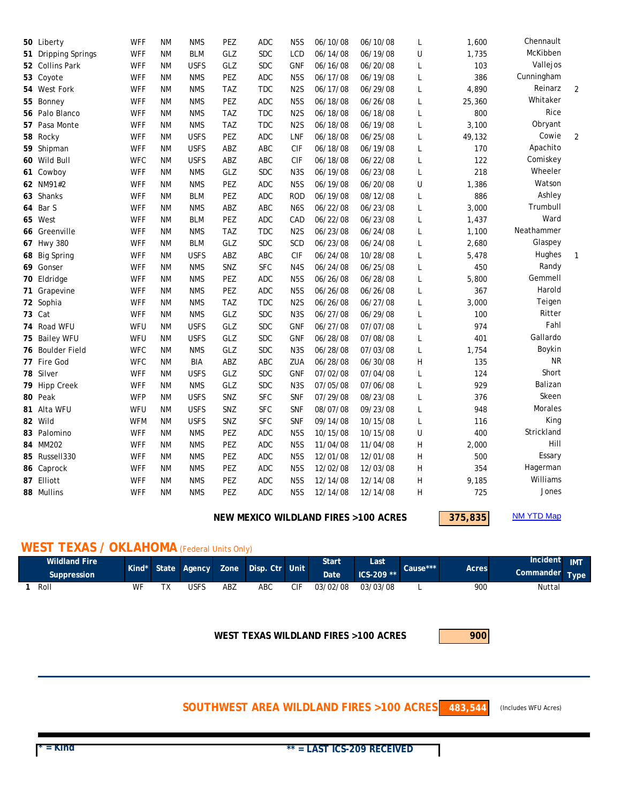| 50 Liberty          | <b>WFF</b> | <b>NM</b> | <b>NMS</b>  | PEZ        | ADC        | N <sub>5</sub> S | 06/10/08 | 06/10/08 | L | 1,600  | Chennault  |                |
|---------------------|------------|-----------|-------------|------------|------------|------------------|----------|----------|---|--------|------------|----------------|
| 51 Dripping Springs | <b>WFF</b> | <b>NM</b> | <b>BLM</b>  | GLZ        | <b>SDC</b> | LCD              | 06/14/08 | 06/19/08 | U | 1,735  | McKibben   |                |
| 52 Collins Park     | <b>WFF</b> | <b>NM</b> | <b>USFS</b> | GLZ        | <b>SDC</b> | <b>GNF</b>       | 06/16/08 | 06/20/08 | L | 103    | Vallejos   |                |
| 53 Coyote           | <b>WFF</b> | <b>NM</b> | <b>NMS</b>  | PEZ        | <b>ADC</b> | N <sub>5</sub> S | 06/17/08 | 06/19/08 | L | 386    | Cunningham |                |
| 54 West Fork        | <b>WFF</b> | <b>NM</b> | <b>NMS</b>  | <b>TAZ</b> | <b>TDC</b> | N <sub>2</sub> S | 06/17/08 | 06/29/08 | L | 4,890  | Reinarz    | $\overline{2}$ |
| 55 Bonney           | <b>WFF</b> | ΝM        | <b>NMS</b>  | PEZ        | <b>ADC</b> | N <sub>5</sub> S | 06/18/08 | 06/26/08 | L | 25,360 | Whitaker   |                |
| 56 Palo Blanco      | <b>WFF</b> | <b>NM</b> | <b>NMS</b>  | <b>TAZ</b> | <b>TDC</b> | N <sub>2</sub> S | 06/18/08 | 06/18/08 | L | 800    | Rice       |                |
| 57 Pasa Monte       | <b>WFF</b> | <b>NM</b> | <b>NMS</b>  | <b>TAZ</b> | <b>TDC</b> | N <sub>2</sub> S | 06/18/08 | 06/19/08 | L | 3,100  | Obryant    |                |
| 58 Rocky            | <b>WFF</b> | ΝM        | <b>USFS</b> | PEZ        | <b>ADC</b> | LNF              | 06/18/08 | 06/25/08 | L | 49,132 | Cowie      | $\overline{2}$ |
| 59 Shipman          | <b>WFF</b> | <b>NM</b> | <b>USFS</b> | ABZ        | <b>ABC</b> | <b>CIF</b>       | 06/18/08 | 06/19/08 | L | 170    | Apachito   |                |
| 60 Wild Bull        | <b>WFC</b> | <b>NM</b> | <b>USFS</b> | ABZ        | ABC        | <b>CIF</b>       | 06/18/08 | 06/22/08 | L | 122    | Comiskey   |                |
| 61 Cowboy           | <b>WFF</b> | ΝM        | <b>NMS</b>  | GLZ        | <b>SDC</b> | N <sub>3</sub> S | 06/19/08 | 06/23/08 | L | 218    | Wheeler    |                |
| 62 NM91#2           | <b>WFF</b> | <b>NM</b> | <b>NMS</b>  | PEZ        | <b>ADC</b> | N <sub>5</sub> S | 06/19/08 | 06/20/08 | U | 1,386  | Watson     |                |
| 63 Shanks           | <b>WFF</b> | ΝM        | <b>BLM</b>  | PEZ        | ADC        | <b>ROD</b>       | 06/19/08 | 08/12/08 | L | 886    | Ashley     |                |
| 64 Bar S            | <b>WFF</b> | ΝM        | <b>NMS</b>  | ABZ        | ABC        | N <sub>6</sub> S | 06/22/08 | 06/23/08 | L | 3,000  | Trumbull   |                |
| 65 West             | <b>WFF</b> | ΝM        | <b>BLM</b>  | PEZ        | <b>ADC</b> | CAD              | 06/22/08 | 06/23/08 | L | 1,437  | Ward       |                |
| 66 Greenville       | <b>WFF</b> | ΝM        | <b>NMS</b>  | <b>TAZ</b> | <b>TDC</b> | N <sub>2</sub> S | 06/23/08 | 06/24/08 | L | 1,100  | Neathammer |                |
| 67 Hwy 380          | <b>WFF</b> | ΝM        | <b>BLM</b>  | GLZ        | <b>SDC</b> | SCD              | 06/23/08 | 06/24/08 | L | 2,680  | Glaspey    |                |
| 68 Big Spring       | <b>WFF</b> | ΝM        | <b>USFS</b> | ABZ        | ABC        | <b>CIF</b>       | 06/24/08 | 10/28/08 | L | 5,478  | Hughes     | $\mathbf{1}$   |
| 69 Gonser           | <b>WFF</b> | <b>NM</b> | <b>NMS</b>  | SNZ        | <b>SFC</b> | N4S              | 06/24/08 | 06/25/08 | L | 450    | Randy      |                |
| 70 Eldridge         | <b>WFF</b> | <b>NM</b> | <b>NMS</b>  | PEZ        | <b>ADC</b> | N <sub>5</sub> S | 06/26/08 | 06/28/08 | L | 5,800  | Gemmell    |                |
| 71 Grapevine        | <b>WFF</b> | <b>NM</b> | <b>NMS</b>  | PEZ        | <b>ADC</b> | N <sub>5</sub> S | 06/26/08 | 06/26/08 | L | 367    | Harold     |                |
| 72 Sophia           | <b>WFF</b> | ΝM        | <b>NMS</b>  | <b>TAZ</b> | <b>TDC</b> | N <sub>2</sub> S | 06/26/08 | 06/27/08 | L | 3,000  | Teigen     |                |
| 73 Cat              | <b>WFF</b> | ΝM        | <b>NMS</b>  | GLZ        | <b>SDC</b> | N <sub>3</sub> S | 06/27/08 | 06/29/08 | L | 100    | Ritter     |                |
| 74 Road WFU         | WFU        | ΝM        | <b>USFS</b> | GLZ        | <b>SDC</b> | <b>GNF</b>       | 06/27/08 | 07/07/08 | L | 974    | Fahl       |                |
| 75 Bailey WFU       | WFU        | ΝM        | <b>USFS</b> | GLZ        | <b>SDC</b> | <b>GNF</b>       | 06/28/08 | 07/08/08 | L | 401    | Gallardo   |                |
| 76 Boulder Field    | <b>WFC</b> | <b>NM</b> | <b>NMS</b>  | GLZ        | <b>SDC</b> | N <sub>3</sub> S | 06/28/08 | 07/03/08 | L | 1,754  | Boykin     |                |
| 77 Fire God         | <b>WFC</b> | <b>NM</b> | BIA         | ABZ        | ABC        | ZUA              | 06/28/08 | 06/30/08 | Η | 135    | <b>NR</b>  |                |
| 78 Silver           | <b>WFF</b> | <b>NM</b> | <b>USFS</b> | GLZ        | <b>SDC</b> | <b>GNF</b>       | 07/02/08 | 07/04/08 | L | 124    | Short      |                |
| 79 Hipp Creek       | <b>WFF</b> | <b>NM</b> | <b>NMS</b>  | GLZ        | <b>SDC</b> | N <sub>3</sub> S | 07/05/08 | 07/06/08 | L | 929    | Balizan    |                |
| 80 Peak             | <b>WFP</b> | <b>NM</b> | <b>USFS</b> | SNZ        | <b>SFC</b> | <b>SNF</b>       | 07/29/08 | 08/23/08 | L | 376    | Skeen      |                |
| 81 Alta WFU         | WFU        | <b>NM</b> | <b>USFS</b> | SNZ        | <b>SFC</b> | <b>SNF</b>       | 08/07/08 | 09/23/08 | L | 948    | Morales    |                |
| 82 Wild             | <b>WFM</b> | ΝM        | <b>USFS</b> | SNZ        | <b>SFC</b> | <b>SNF</b>       | 09/14/08 | 10/15/08 | L | 116    | King       |                |
| 83 Palomino         | <b>WFF</b> | <b>NM</b> | <b>NMS</b>  | PEZ        | <b>ADC</b> | N <sub>5</sub> S | 10/15/08 | 10/15/08 | U | 400    | Strickland |                |
| 84 MM202            | <b>WFF</b> | ΝM        | <b>NMS</b>  | PEZ        | <b>ADC</b> | N <sub>5</sub> S | 11/04/08 | 11/04/08 | H | 2,000  | Hill       |                |
| 85 Russell330       | <b>WFF</b> | <b>NM</b> | <b>NMS</b>  | PEZ        | <b>ADC</b> | N <sub>5</sub> S | 12/01/08 | 12/01/08 | Н | 500    | Essary     |                |
| 86 Caprock          | <b>WFF</b> | ΝM        | <b>NMS</b>  | PEZ        | <b>ADC</b> | N <sub>5</sub> S | 12/02/08 | 12/03/08 | H | 354    | Hagerman   |                |
| 87 Elliott          | <b>WFF</b> | ΝM        | <b>NMS</b>  | PEZ        | <b>ADC</b> | N <sub>5</sub> S | 12/14/08 | 12/14/08 | H | 9,185  | Williams   |                |
| 88 Mullins          | <b>WFF</b> | ΝM        | <b>NMS</b>  | PEZ        | ADC        | N <sub>5</sub> S | 12/14/08 | 12/14/08 | H | 725    | Jones      |                |
|                     |            |           |             |            |            |                  |          |          |   |        |            |                |

**NEW MEXICO WILDLAND FIRES >100 ACRES**

**375,835** NM YTD Map

## **WEST TEXAS / OKLAHOMA** (Federal Units Only)

| <b>Wildland Fire</b> |    | Kind*<br>State |                | <b>Zone</b> | . Ctr Unit.<br>Disp. |     | Start       | Last         | Cause*** | <b>Acres</b> | Incident       | <b>IMT</b> |  |
|----------------------|----|----------------|----------------|-------------|----------------------|-----|-------------|--------------|----------|--------------|----------------|------------|--|
| Suppression'         |    |                | <b>A</b> dency |             |                      |     | <b>Date</b> | $ICS-209$ ** |          |              | Commander Type |            |  |
| Roll                 | WF |                | JSFS           | ABZ         | <b>ABC</b>           | CIF | 03/02/08    | 03/03/08     |          | <b>900</b>   | Nuttal         |            |  |

**WEST TEXAS WILDLAND FIRES >100 ACRES**

 $\overline{\phantom{a}}$ 

**SOUTHWEST AREA WILDLAND FIRES >100 ACRES**

**483,544** (Includes WFU Acres)